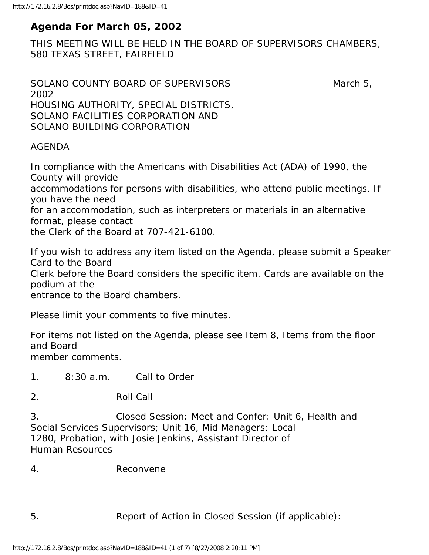# **Agenda For March 05, 2002**

THIS MEETING WILL BE HELD IN THE BOARD OF SUPERVISORS CHAMBERS, 580 TEXAS STREET, FAIRFIELD

```
SOLANO COUNTY BOARD OF SUPERVISORS March 5,
2002 
HOUSING AUTHORITY, SPECIAL DISTRICTS, 
SOLANO FACILITIES CORPORATION AND 
SOLANO BUILDING CORPORATION
```
#### AGENDA

In compliance with the Americans with Disabilities Act (ADA) of 1990, the County will provide

accommodations for persons with disabilities, who attend public meetings. If you have the need

for an accommodation, such as interpreters or materials in an alternative format, please contact

the Clerk of the Board at 707-421-6100.

If you wish to address any item listed on the Agenda, please submit a Speaker Card to the Board Clerk before the Board considers the specific item. Cards are available on the podium at the

entrance to the Board chambers.

Please limit your comments to five minutes.

For items not listed on the Agenda, please see Item 8, Items from the floor and Board member comments.

1. 8:30 a.m. Call to Order

2. Roll Call

3. Closed Session: Meet and Confer: Unit 6, Health and Social Services Supervisors; Unit 16, Mid Managers; Local 1280, Probation, with Josie Jenkins, Assistant Director of Human Resources

4. Reconvene

5. Report of Action in Closed Session (if applicable):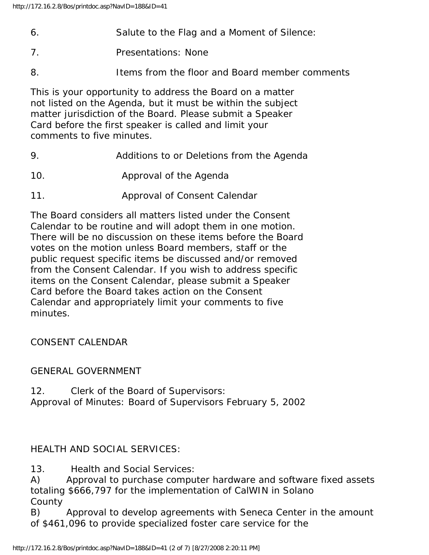- 6. Salute to the Flag and a Moment of Silence:
- 7. Presentations: None
- 8. Items from the floor and Board member comments

This is your opportunity to address the Board on a matter not listed on the Agenda, but it must be within the subject matter jurisdiction of the Board. Please submit a Speaker Card before the first speaker is called and limit your comments to five minutes.

- 9. Additions to or Deletions from the Agenda
- 10. Approval of the Agenda
- 11. Approval of Consent Calendar

The Board considers all matters listed under the Consent Calendar to be routine and will adopt them in one motion. There will be no discussion on these items before the Board votes on the motion unless Board members, staff or the public request specific items be discussed and/or removed from the Consent Calendar. If you wish to address specific items on the Consent Calendar, please submit a Speaker Card before the Board takes action on the Consent Calendar and appropriately limit your comments to five minutes.

CONSENT CALENDAR

#### GENERAL GOVERNMENT

12. Clerk of the Board of Supervisors: Approval of Minutes: Board of Supervisors February 5, 2002

## HEALTH AND SOCIAL SERVICES:

13. Health and Social Services:

A) Approval to purchase computer hardware and software fixed assets totaling \$666,797 for the implementation of CalWIN in Solano **County** 

B) Approval to develop agreements with Seneca Center in the amount of \$461,096 to provide specialized foster care service for the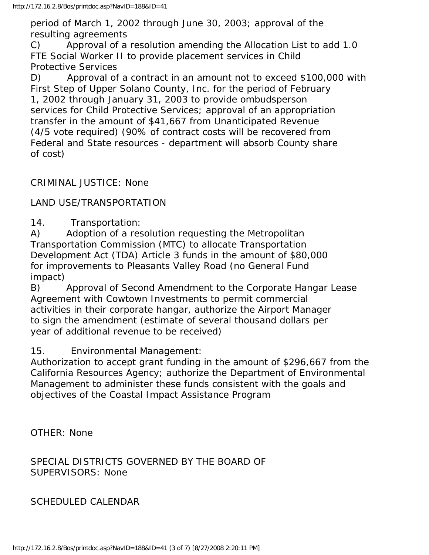period of March 1, 2002 through June 30, 2003; approval of the resulting agreements

C) Approval of a resolution amending the Allocation List to add 1.0 FTE Social Worker II to provide placement services in Child Protective Services

D) Approval of a contract in an amount not to exceed \$100,000 with First Step of Upper Solano County, Inc. for the period of February 1, 2002 through January 31, 2003 to provide ombudsperson services for Child Protective Services; approval of an appropriation transfer in the amount of \$41,667 from Unanticipated Revenue (4/5 vote required) (90% of contract costs will be recovered from Federal and State resources - department will absorb County share of cost)

CRIMINAL JUSTICE: None

## LAND USE/TRANSPORTATION

14. Transportation:

A) Adoption of a resolution requesting the Metropolitan Transportation Commission (MTC) to allocate Transportation Development Act (TDA) Article 3 funds in the amount of \$80,000 for improvements to Pleasants Valley Road (no General Fund impact)

B) Approval of Second Amendment to the Corporate Hangar Lease Agreement with Cowtown Investments to permit commercial activities in their corporate hangar, authorize the Airport Manager to sign the amendment (estimate of several thousand dollars per year of additional revenue to be received)

#### 15. Environmental Management:

Authorization to accept grant funding in the amount of \$296,667 from the California Resources Agency; authorize the Department of Environmental Management to administer these funds consistent with the goals and objectives of the Coastal Impact Assistance Program

OTHER: None

SPECIAL DISTRICTS GOVERNED BY THE BOARD OF SUPERVISORS: None

SCHEDULED CALENDAR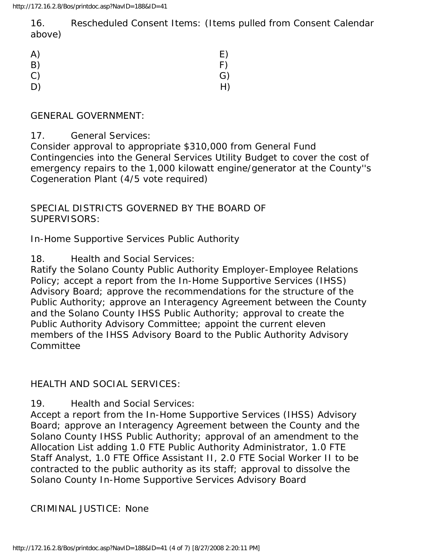16. Rescheduled Consent Items: (Items pulled from Consent Calendar above)

| A) | E) |
|----|----|
| B) | F) |
| C) | G) |
| D) | H) |

#### GENERAL GOVERNMENT:

#### 17. General Services:

Consider approval to appropriate \$310,000 from General Fund Contingencies into the General Services Utility Budget to cover the cost of emergency repairs to the 1,000 kilowatt engine/generator at the County''s Cogeneration Plant (4/5 vote required)

### SPECIAL DISTRICTS GOVERNED BY THE BOARD OF SUPERVISORS:

In-Home Supportive Services Public Authority

#### 18. Health and Social Services:

Ratify the Solano County Public Authority Employer-Employee Relations Policy; accept a report from the In-Home Supportive Services (IHSS) Advisory Board; approve the recommendations for the structure of the Public Authority; approve an Interagency Agreement between the County and the Solano County IHSS Public Authority; approval to create the Public Authority Advisory Committee; appoint the current eleven members of the IHSS Advisory Board to the Public Authority Advisory **Committee** 

#### HEALTH AND SOCIAL SERVICES:

19. Health and Social Services:

Accept a report from the In-Home Supportive Services (IHSS) Advisory Board; approve an Interagency Agreement between the County and the Solano County IHSS Public Authority; approval of an amendment to the Allocation List adding 1.0 FTE Public Authority Administrator, 1.0 FTE Staff Analyst, 1.0 FTE Office Assistant II, 2.0 FTE Social Worker II to be contracted to the public authority as its staff; approval to dissolve the Solano County In-Home Supportive Services Advisory Board

#### CRIMINAL JUSTICE: None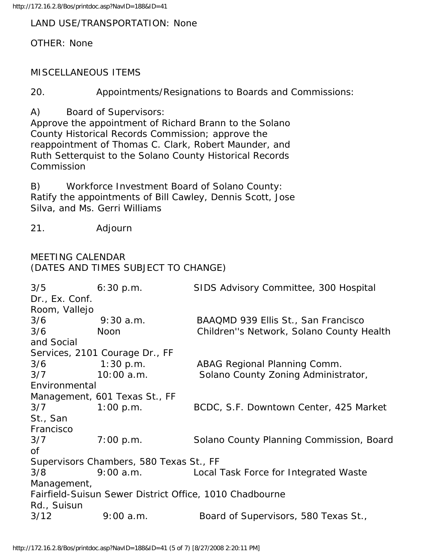http://172.16.2.8/Bos/printdoc.asp?NavID=188&ID=41

#### LAND USE/TRANSPORTATION: None

OTHER: None

MISCELLANEOUS ITEMS

20. Appointments/Resignations to Boards and Commissions:

A) Board of Supervisors:

Approve the appointment of Richard Brann to the Solano County Historical Records Commission; approve the reappointment of Thomas C. Clark, Robert Maunder, and Ruth Setterquist to the Solano County Historical Records Commission

B) Workforce Investment Board of Solano County: Ratify the appointments of Bill Cawley, Dennis Scott, Jose Silva, and Ms. Gerri Williams

21. Adjourn

# MEETING CALENDAR (DATES AND TIMES SUBJECT TO CHANGE)

| $3/5$ 6:30 p.m.                                         |              | SIDS Advisory Committee, 300 Hospital           |  |
|---------------------------------------------------------|--------------|-------------------------------------------------|--|
| Dr., Ex. Conf.                                          |              |                                                 |  |
| Room, Vallejo                                           |              |                                                 |  |
| 3/6                                                     | $9:30$ a.m.  | BAAQMD 939 Ellis St., San Francisco             |  |
| 3/6                                                     | Noon         | Children"s Network, Solano County Health        |  |
| and Social                                              |              |                                                 |  |
| Services, 2101 Courage Dr., FF                          |              |                                                 |  |
| 3/6                                                     | $1:30$ p.m.  | ABAG Regional Planning Comm.                    |  |
| 3/7                                                     | $10:00$ a.m. | Solano County Zoning Administrator,             |  |
| Environmental                                           |              |                                                 |  |
| Management, 601 Texas St., FF                           |              |                                                 |  |
| 3/7                                                     | 1:00 p.m.    | BCDC, S.F. Downtown Center, 425 Market          |  |
| St., San                                                |              |                                                 |  |
| Francisco                                               |              |                                                 |  |
| 3/7                                                     | 7:00 p.m.    | Solano County Planning Commission, Board        |  |
| <b>of</b>                                               |              |                                                 |  |
| Supervisors Chambers, 580 Texas St., FF                 |              |                                                 |  |
| 3/8                                                     |              | 9:00 a.m. Local Task Force for Integrated Waste |  |
| Management,                                             |              |                                                 |  |
| Fairfield-Suisun Sewer District Office, 1010 Chadbourne |              |                                                 |  |
| Rd., Suisun                                             |              |                                                 |  |
| 3/12                                                    | 9:00 a.m.    | Board of Supervisors, 580 Texas St.,            |  |
|                                                         |              |                                                 |  |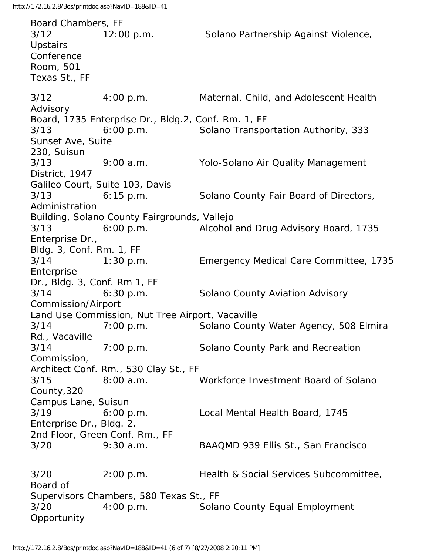Board Chambers, FF 3/12 12:00 p.m. Solano Partnership Against Violence, **Upstairs Conference** Room, 501 Texas St., FF 3/12 4:00 p.m. Maternal, Child, and Adolescent Health Advisory Board, 1735 Enterprise Dr., Bldg.2, Conf. Rm. 1, FF 3/13 6:00 p.m. Solano Transportation Authority, 333 Sunset Ave, Suite 230, Suisun 3/13 9:00 a.m. Yolo-Solano Air Quality Management District, 1947 Galileo Court, Suite 103, Davis 3/13 6:15 p.m. Solano County Fair Board of Directors, Administration Building, Solano County Fairgrounds, Vallejo 3/13 6:00 p.m. Alcohol and Drug Advisory Board, 1735 Enterprise Dr., Bldg. 3, Conf. Rm. 1, FF 3/14 1:30 p.m. Emergency Medical Care Committee, 1735 Enterprise Dr., Bldg. 3, Conf. Rm 1, FF 3/14 6:30 p.m. Solano County Aviation Advisory Commission/Airport Land Use Commission, Nut Tree Airport, Vacaville 3/14 7:00 p.m. Solano County Water Agency, 508 Elmira Rd., Vacaville 3/14 7:00 p.m. Solano County Park and Recreation Commission, Architect Conf. Rm., 530 Clay St., FF 3/15 8:00 a.m. Workforce Investment Board of Solano County,320 Campus Lane, Suisun 3/19 6:00 p.m. Local Mental Health Board, 1745 Enterprise Dr., Bldg. 2, 2nd Floor, Green Conf. Rm., FF 3/20 9:30 a.m. BAAQMD 939 Ellis St., San Francisco 3/20 2:00 p.m. Health & Social Services Subcommittee, Board of Supervisors Chambers, 580 Texas St., FF 3/20 4:00 p.m. Solano County Equal Employment **Opportunity**